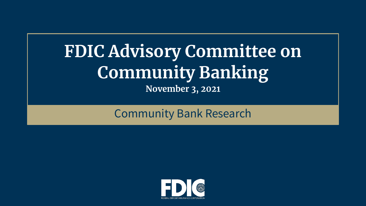# **FDIC Advisory Committee on Community Banking November 3, 2021**

## Community Bank Research

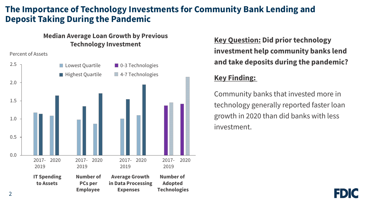## **The Importance of Technology Investments for Community Bank Lending and Deposit Taking During the Pandemic**

#### **Median Average Loan Growth by Previous Technology Investment**

#### Percent of Assets



**Key Question: Did prior technology investment help community banks lend and take deposits during the pandemic?**

#### **Key Finding:**

Community banks that invested more in technology generally reported faster loan growth in 2020 than did banks with less investment.